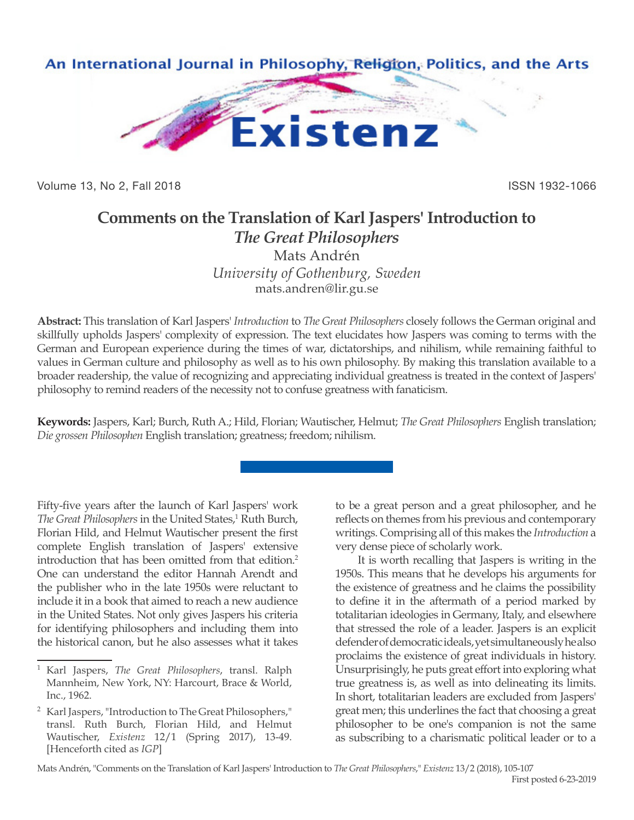

Volume 13, No 2, Fall 2018 ISSN 1932-1066

## **Comments on the Translation of Karl Jaspers' Introduction to**  *The Great Philosophers*

Mats Andrén *University of Gothenburg, Sweden* mats.andren@lir.gu.se

**Abstract:** This translation of Karl Jaspers' *Introduction* to *The Great Philosophers* closely follows the German original and skillfully upholds Jaspers' complexity of expression. The text elucidates how Jaspers was coming to terms with the German and European experience during the times of war, dictatorships, and nihilism, while remaining faithful to values in German culture and philosophy as well as to his own philosophy. By making this translation available to a broader readership, the value of recognizing and appreciating individual greatness is treated in the context of Jaspers' philosophy to remind readers of the necessity not to confuse greatness with fanaticism.

**Keywords:** Jaspers, Karl; Burch, Ruth A.; Hild, Florian; Wautischer, Helmut; *The Great Philosophers* English translation; *Die grossen Philosophen* English translation; greatness; freedom; nihilism.

Fifty-five years after the launch of Karl Jaspers' work The Great Philosophers in the United States,<sup>1</sup> Ruth Burch, Florian Hild, and Helmut Wautischer present the first complete English translation of Jaspers' extensive introduction that has been omitted from that edition.<sup>2</sup> One can understand the editor Hannah Arendt and the publisher who in the late 1950s were reluctant to include it in a book that aimed to reach a new audience in the United States. Not only gives Jaspers his criteria for identifying philosophers and including them into the historical canon, but he also assesses what it takes

to be a great person and a great philosopher, and he reflects on themes from his previous and contemporary writings. Comprising all of this makes the *Introduction* a very dense piece of scholarly work.

It is worth recalling that Jaspers is writing in the 1950s. This means that he develops his arguments for the existence of greatness and he claims the possibility to define it in the aftermath of a period marked by totalitarian ideologies in Germany, Italy, and elsewhere that stressed the role of a leader. Jaspers is an explicit defender of democratic ideals, yet simultaneously he also proclaims the existence of great individuals in history. Unsurprisingly, he puts great effort into exploring what true greatness is, as well as into delineating its limits. In short, totalitarian leaders are excluded from Jaspers' great men; this underlines the fact that choosing a great philosopher to be one's companion is not the same as subscribing to a charismatic political leader or to a

<sup>1</sup> Karl Jaspers, *The Great Philosophers*, transl. Ralph Mannheim, New York, NY: Harcourt, Brace & World, Inc., 1962.

<sup>2</sup> Karl Jaspers, "Introduction to The Great Philosophers," transl. Ruth Burch, Florian Hild, and Helmut Wautischer, *Existenz* 12/1 (Spring 2017), 13-49. [Henceforth cited as *IGP*]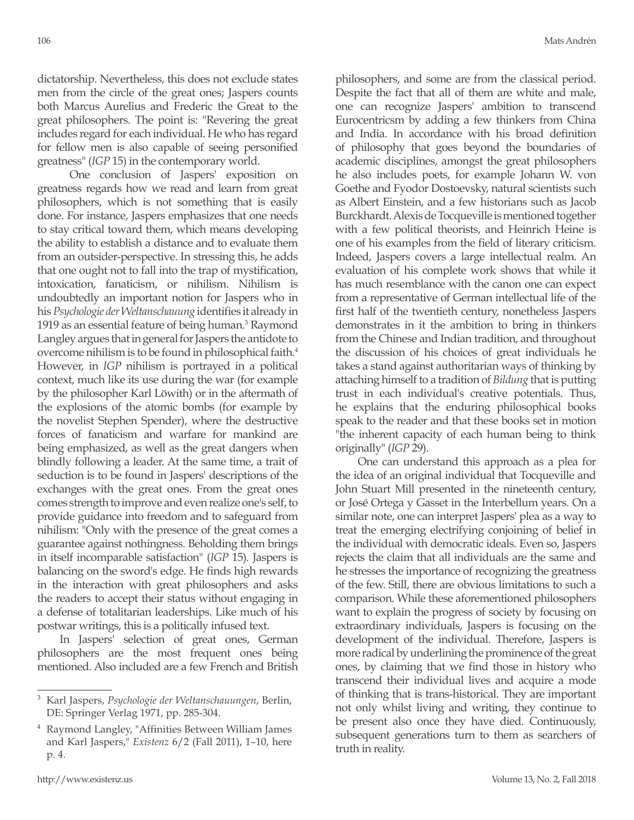dictatorship. Nevertheless, this does not exclude states men from the circle of the great ones; Jaspers counts both Marcus Aurelius and Frederic the Great to the great philosophers. The point is: "Revering the great includes regard for each individual. He who has regard for fellow men is also capable of seeing personified greatness" (*IGP* 15) in the contemporary world.

 One conclusion of Jaspers' exposition on greatness regards how we read and learn from great philosophers, which is not something that is easily done. For instance, Jaspers emphasizes that one needs to stay critical toward them, which means developing the ability to establish a distance and to evaluate them from an outsider-perspective. In stressing this, he adds that one ought not to fall into the trap of mystification, intoxication, fanaticism, or nihilism. Nihilism is undoubtedly an important notion for Jaspers who in his *Psychologie der Weltanschauung* identifies it already in 1919 as an essential feature of being human.<sup>3</sup> Raymond Langley argues that in general for Jaspers the antidote to overcome nihilism is to be found in philosophical faith.4 However, in *IGP* nihilism is portrayed in a political context, much like its use during the war (for example by the philosopher Karl Löwith) or in the aftermath of the explosions of the atomic bombs (for example by the novelist Stephen Spender), where the destructive forces of fanaticism and warfare for mankind are being emphasized, as well as the great dangers when blindly following a leader. At the same time, a trait of seduction is to be found in Jaspers' descriptions of the exchanges with the great ones. From the great ones comes strength to improve and even realize one's self, to provide guidance into freedom and to safeguard from nihilism: "Only with the presence of the great comes a guarantee against nothingness. Beholding them brings in itself incomparable satisfaction" (*IGP* 15). Jaspers is balancing on the sword's edge. He finds high rewards in the interaction with great philosophers and asks the readers to accept their status without engaging in a defense of totalitarian leaderships. Like much of his postwar writings, this is a politically infused text.

In Jaspers' selection of great ones, German philosophers are the most frequent ones being mentioned. Also included are a few French and British philosophers, and some are from the classical period. Despite the fact that all of them are white and male, one can recognize Jaspers' ambition to transcend Eurocentricsm by adding a few thinkers from China and India. In accordance with his broad definition of philosophy that goes beyond the boundaries of academic disciplines, amongst the great philosophers he also includes poets, for example Johann W. von Goethe and Fyodor Dostoevsky, natural scientists such as Albert Einstein, and a few historians such as Jacob Burckhardt. Alexis de Tocqueville is mentioned together with a few political theorists, and Heinrich Heine is one of his examples from the field of literary criticism. Indeed, Jaspers covers a large intellectual realm. An evaluation of his complete work shows that while it has much resemblance with the canon one can expect from a representative of German intellectual life of the first half of the twentieth century, nonetheless Jaspers demonstrates in it the ambition to bring in thinkers from the Chinese and Indian tradition, and throughout the discussion of his choices of great individuals he takes a stand against authoritarian ways of thinking by attaching himself to a tradition of *Bildung* that is putting trust in each individual's creative potentials. Thus, he explains that the enduring philosophical books speak to the reader and that these books set in motion "the inherent capacity of each human being to think originally" (*IGP* 29).

One can understand this approach as a plea for the idea of an original individual that Tocqueville and John Stuart Mill presented in the nineteenth century, or José Ortega y Gasset in the Interbellum years. On a similar note, one can interpret Jaspers' plea as a way to treat the emerging electrifying conjoining of belief in the individual with democratic ideals. Even so, Jaspers rejects the claim that all individuals are the same and he stresses the importance of recognizing the greatness of the few. Still, there are obvious limitations to such a comparison. While these aforementioned philosophers want to explain the progress of society by focusing on extraordinary individuals, Jaspers is focusing on the development of the individual. Therefore, Jaspers is more radical by underlining the prominence of the great ones, by claiming that we find those in history who transcend their individual lives and acquire a mode of thinking that is trans-historical. They are important not only whilst living and writing, they continue to be present also once they have died. Continuously, subsequent generations turn to them as searchers of truth in reality.

<sup>3</sup> Karl Jaspers, *Psychologie der Weltanschauungen*, Berlin, DE: Springer Verlag 1971, pp. 285-304.

<sup>4</sup> Raymond Langley, "Affinities Between William James and Karl Jaspers," *Existenz* 6/2 (Fall 2011), 1–10, here p. 4.